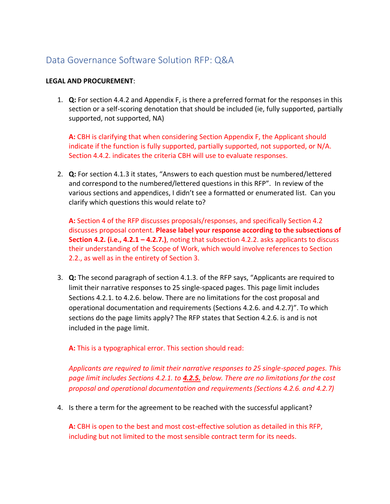# Data Governance Software Solution RFP: Q&A

# **LEGAL AND PROCUREMENT**:

1. **Q:** For section 4.4.2 and Appendix F, is there a preferred format for the responses in this section or a self-scoring denotation that should be included (ie, fully supported, partially supported, not supported, NA)

**A:** CBH is clarifying that when considering Section Appendix F, the Applicant should indicate if the function is fully supported, partially supported, not supported, or N/A. Section 4.4.2. indicates the criteria CBH will use to evaluate responses.

2. **Q:** For section 4.1.3 it states, "Answers to each question must be numbered/lettered and correspond to the numbered/lettered questions in this RFP". In review of the various sections and appendices, I didn't see a formatted or enumerated list. Can you clarify which questions this would relate to?

**A:** Section 4 of the RFP discusses proposals/responses, and specifically Section 4.2 discusses proposal content. **Please label your response according to the subsections of Section 4.2. (i.e., 4.2.1 – 4.2.7.)**, noting that subsection 4.2.2. asks applicants to discuss their understanding of the Scope of Work, which would involve references to Section 2.2., as well as in the entirety of Section 3.

3. **Q:** The second paragraph of section 4.1.3. of the RFP says, "Applicants are required to limit their narrative responses to 25 single-spaced pages. This page limit includes Sections 4.2.1. to 4.2.6. below. There are no limitations for the cost proposal and operational documentation and requirements (Sections 4.2.6. and 4.2.7)". To which sections do the page limits apply? The RFP states that Section 4.2.6. is and is not included in the page limit.

**A:** This is a typographical error. This section should read:

*Applicants are required to limit their narrative responses to 25 single-spaced pages. This page limit includes Sections 4.2.1. to 4.2.5. below. There are no limitations for the cost proposal and operational documentation and requirements (Sections 4.2.6. and 4.2.7)*

4. Is there a term for the agreement to be reached with the successful applicant?

**A:** CBH is open to the best and most cost-effective solution as detailed in this RFP, including but not limited to the most sensible contract term for its needs.